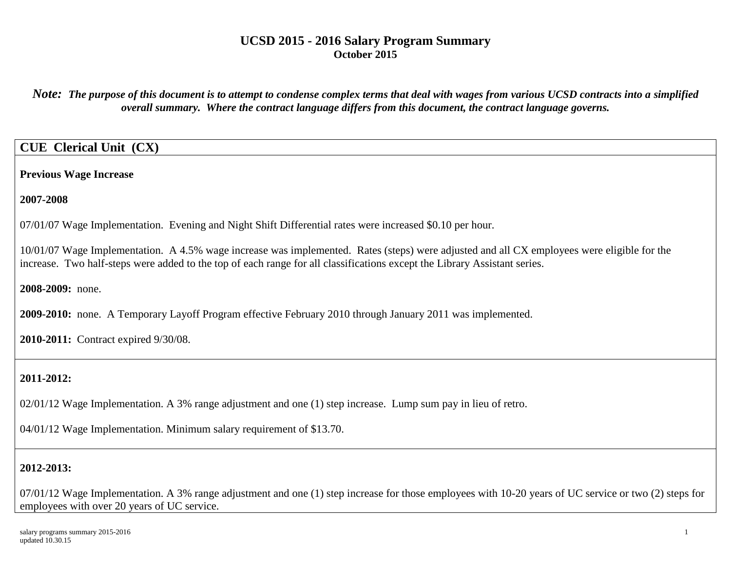*Note: The purpose of this document is to attempt to condense complex terms that deal with wages from various UCSD contracts into a simplified overall summary. Where the contract language differs from this document, the contract language governs.*

## **CUE Clerical Unit (CX)**

**Previous Wage Increase**

**2007-2008**

07/01/07 Wage Implementation. Evening and Night Shift Differential rates were increased \$0.10 per hour.

10/01/07 Wage Implementation. A 4.5% wage increase was implemented. Rates (steps) were adjusted and all CX employees were eligible for the increase. Two half-steps were added to the top of each range for all classifications except the Library Assistant series.

**2008-2009:** none.

**2009-2010:** none. A Temporary Layoff Program effective February 2010 through January 2011 was implemented.

**2010-2011:** Contract expired 9/30/08.

# **2011-2012:**

02/01/12 Wage Implementation. A 3% range adjustment and one (1) step increase. Lump sum pay in lieu of retro.

04/01/12 Wage Implementation. Minimum salary requirement of \$13.70.

# **2012-2013:**

07/01/12 Wage Implementation. A 3% range adjustment and one (1) step increase for those employees with 10-20 years of UC service or two (2) steps for employees with over 20 years of UC service.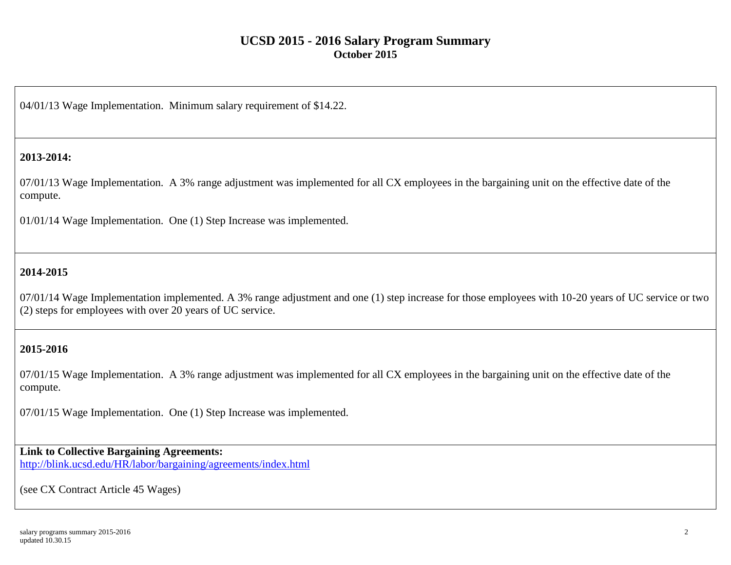04/01/13 Wage Implementation. Minimum salary requirement of \$14.22.

#### **2013-2014:**

07/01/13 Wage Implementation. A 3% range adjustment was implemented for all CX employees in the bargaining unit on the effective date of the compute.

01/01/14 Wage Implementation. One (1) Step Increase was implemented.

### **2014-2015**

07/01/14 Wage Implementation implemented. A 3% range adjustment and one (1) step increase for those employees with 10-20 years of UC service or two (2) steps for employees with over 20 years of UC service.

#### **2015-2016**

07/01/15 Wage Implementation. A 3% range adjustment was implemented for all CX employees in the bargaining unit on the effective date of the compute.

07/01/15 Wage Implementation. One (1) Step Increase was implemented.

# **Link to Collective Bargaining Agreements:**

<http://blink.ucsd.edu/HR/labor/bargaining/agreements/index.html>

(see CX Contract Article 45 Wages)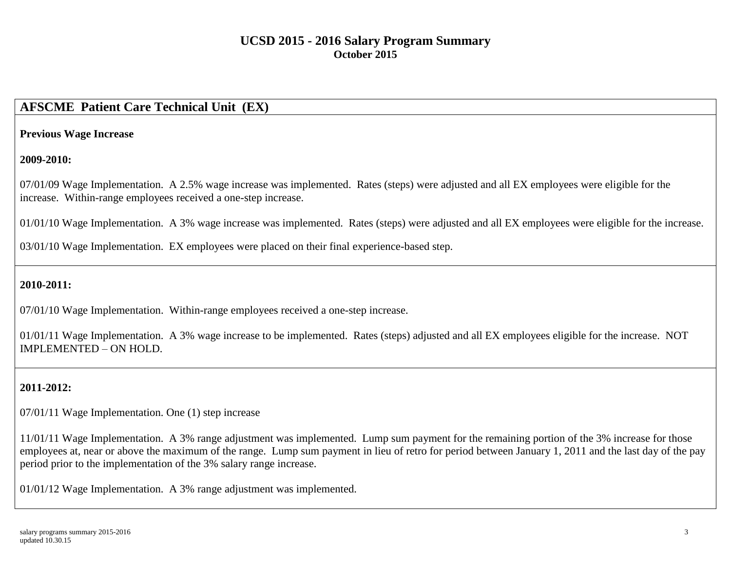# **AFSCME Patient Care Technical Unit (EX)**

#### **Previous Wage Increase**

#### **2009-2010:**

07/01/09 Wage Implementation. A 2.5% wage increase was implemented. Rates (steps) were adjusted and all EX employees were eligible for the increase. Within-range employees received a one-step increase.

01/01/10 Wage Implementation. A 3% wage increase was implemented. Rates (steps) were adjusted and all EX employees were eligible for the increase.

03/01/10 Wage Implementation. EX employees were placed on their final experience-based step.

### **2010-2011:**

07/01/10 Wage Implementation. Within-range employees received a one-step increase.

01/01/11 Wage Implementation. A 3% wage increase to be implemented. Rates (steps) adjusted and all EX employees eligible for the increase. NOT IMPLEMENTED – ON HOLD.

## **2011-2012:**

07/01/11 Wage Implementation. One (1) step increase

11/01/11 Wage Implementation. A 3% range adjustment was implemented. Lump sum payment for the remaining portion of the 3% increase for those employees at, near or above the maximum of the range. Lump sum payment in lieu of retro for period between January 1, 2011 and the last day of the pay period prior to the implementation of the 3% salary range increase.

01/01/12 Wage Implementation. A 3% range adjustment was implemented.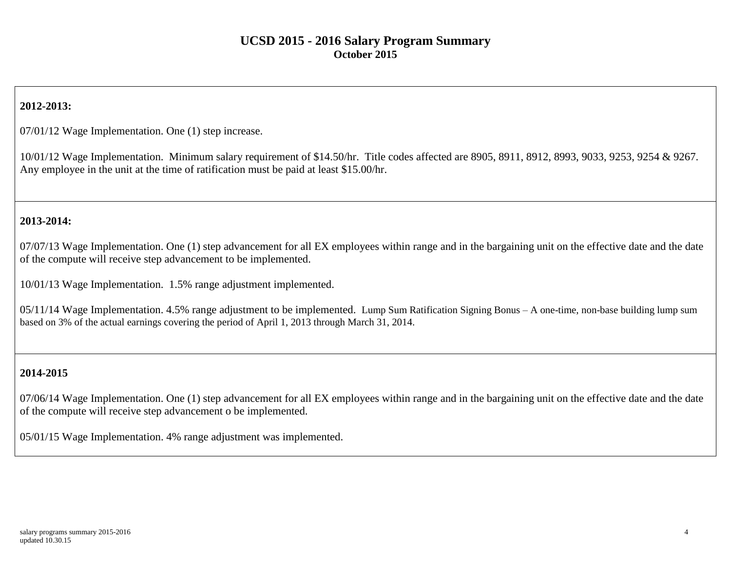## **2012-2013:**

07/01/12 Wage Implementation. One (1) step increase.

10/01/12 Wage Implementation. Minimum salary requirement of \$14.50/hr. Title codes affected are 8905, 8911, 8912, 8993, 9033, 9253, 9254 & 9267. Any employee in the unit at the time of ratification must be paid at least \$15.00/hr.

### **2013-2014:**

07/07/13 Wage Implementation. One (1) step advancement for all EX employees within range and in the bargaining unit on the effective date and the date of the compute will receive step advancement to be implemented.

10/01/13 Wage Implementation. 1.5% range adjustment implemented.

05/11/14 Wage Implementation. 4.5% range adjustment to be implemented. Lump Sum Ratification Signing Bonus – A one-time, non-base building lump sum based on 3% of the actual earnings covering the period of April 1, 2013 through March 31, 2014.

### **2014-2015**

07/06/14 Wage Implementation. One (1) step advancement for all EX employees within range and in the bargaining unit on the effective date and the date of the compute will receive step advancement o be implemented.

05/01/15 Wage Implementation. 4% range adjustment was implemented.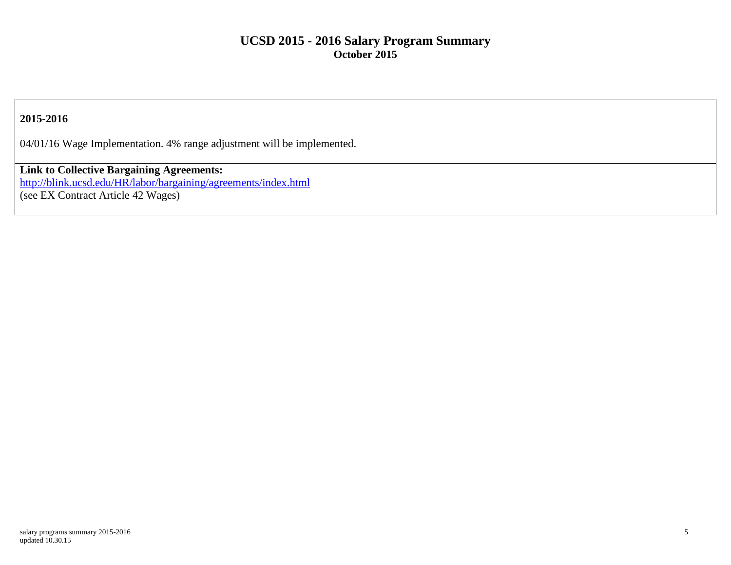### **2015-2016**

04/01/16 Wage Implementation. 4% range adjustment will be implemented.

**Link to Collective Bargaining Agreements:** <http://blink.ucsd.edu/HR/labor/bargaining/agreements/index.html> (see EX Contract Article 42 Wages)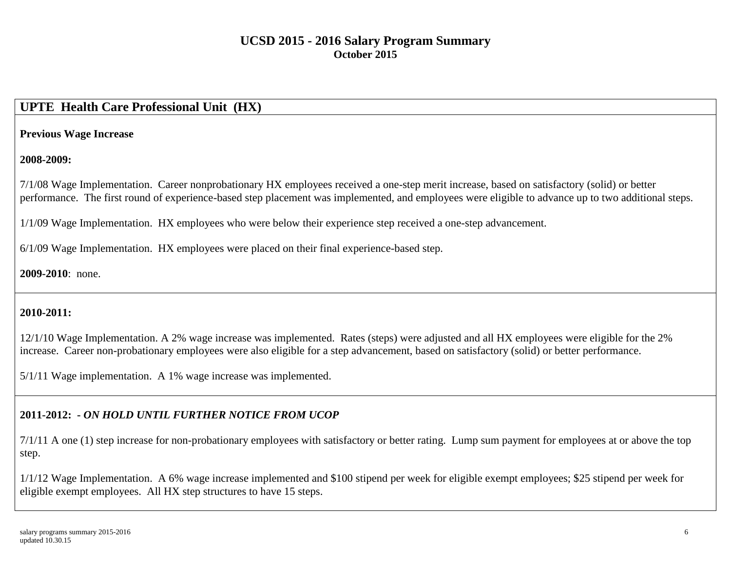# **UPTE Health Care Professional Unit (HX)**

#### **Previous Wage Increase**

### **2008-2009:**

7/1/08 Wage Implementation. Career nonprobationary HX employees received a one-step merit increase, based on satisfactory (solid) or better performance. The first round of experience-based step placement was implemented, and employees were eligible to advance up to two additional steps.

1/1/09 Wage Implementation. HX employees who were below their experience step received a one-step advancement.

6/1/09 Wage Implementation. HX employees were placed on their final experience-based step.

### **2009-2010**: none.

## **2010-2011:**

12/1/10 Wage Implementation. A 2% wage increase was implemented. Rates (steps) were adjusted and all HX employees were eligible for the 2% increase. Career non-probationary employees were also eligible for a step advancement, based on satisfactory (solid) or better performance.

5/1/11 Wage implementation. A 1% wage increase was implemented.

# **2011-2012: -** *ON HOLD UNTIL FURTHER NOTICE FROM UCOP*

7/1/11 A one (1) step increase for non-probationary employees with satisfactory or better rating. Lump sum payment for employees at or above the top step.

1/1/12 Wage Implementation. A 6% wage increase implemented and \$100 stipend per week for eligible exempt employees; \$25 stipend per week for eligible exempt employees. All HX step structures to have 15 steps.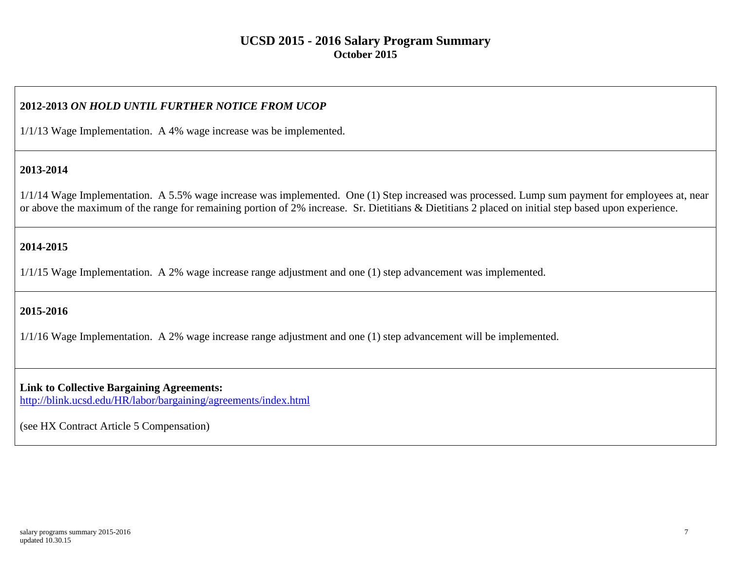### **2012-2013** *ON HOLD UNTIL FURTHER NOTICE FROM UCOP*

1/1/13 Wage Implementation. A 4% wage increase was be implemented.

#### **2013-2014**

1/1/14 Wage Implementation. A 5.5% wage increase was implemented. One (1) Step increased was processed. Lump sum payment for employees at, near or above the maximum of the range for remaining portion of 2% increase. Sr. Dietitians & Dietitians 2 placed on initial step based upon experience.

### **2014-2015**

1/1/15 Wage Implementation. A 2% wage increase range adjustment and one (1) step advancement was implemented.

#### **2015-2016**

1/1/16 Wage Implementation. A 2% wage increase range adjustment and one (1) step advancement will be implemented.

**Link to Collective Bargaining Agreements:**  http://blink.ucsd.edu/HR/labor/bargaining/agreements/index.html

(see HX Contract Article 5 Compensation)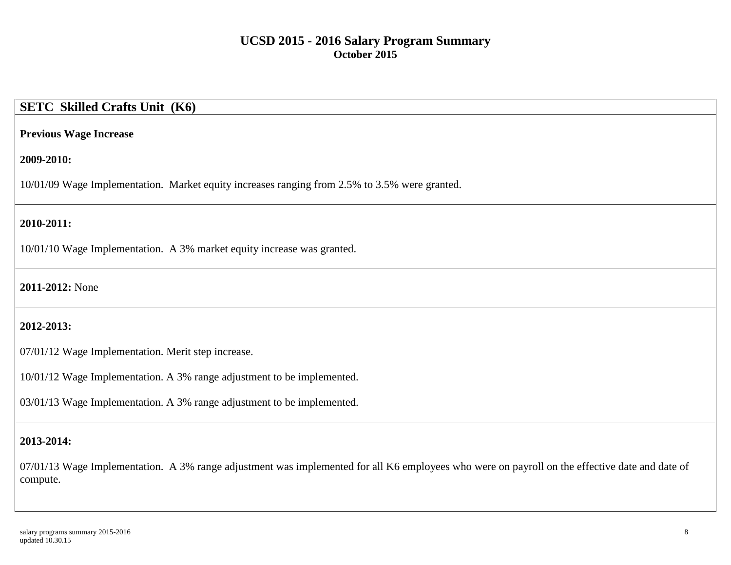# **SETC Skilled Crafts Unit (K6)**

#### **Previous Wage Increase**

#### **2009-2010:**

10/01/09 Wage Implementation. Market equity increases ranging from 2.5% to 3.5% were granted.

### **2010-2011:**

10/01/10 Wage Implementation. A 3% market equity increase was granted.

#### **2011-2012:** None

## **2012-2013:**

07/01/12 Wage Implementation. Merit step increase.

10/01/12 Wage Implementation. A 3% range adjustment to be implemented.

03/01/13 Wage Implementation. A 3% range adjustment to be implemented.

### **2013-2014:**

07/01/13 Wage Implementation. A 3% range adjustment was implemented for all K6 employees who were on payroll on the effective date and date of compute.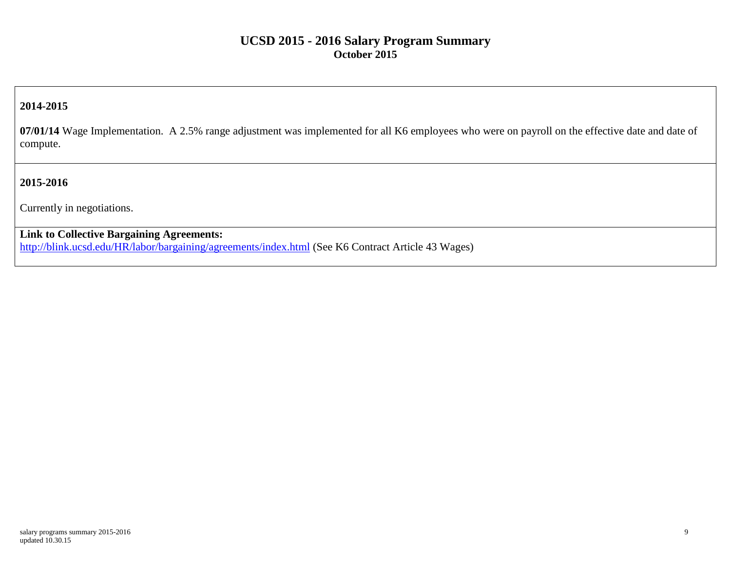### **2014-2015**

**07/01/14** Wage Implementation. A 2.5% range adjustment was implemented for all K6 employees who were on payroll on the effective date and date of compute.

### **2015-2016**

Currently in negotiations.

### **Link to Collective Bargaining Agreements:**

<http://blink.ucsd.edu/HR/labor/bargaining/agreements/index.html> (See K6 Contract Article 43 Wages)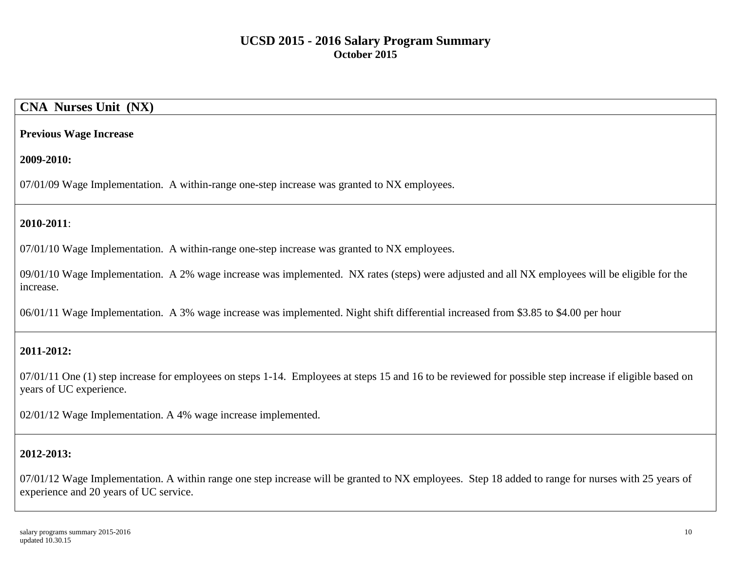## **CNA Nurses Unit (NX)**

#### **Previous Wage Increase**

#### **2009-2010:**

07/01/09 Wage Implementation. A within-range one-step increase was granted to NX employees.

### **2010-2011**:

07/01/10 Wage Implementation. A within-range one-step increase was granted to NX employees.

09/01/10 Wage Implementation. A 2% wage increase was implemented. NX rates (steps) were adjusted and all NX employees will be eligible for the increase.

06/01/11 Wage Implementation. A 3% wage increase was implemented. Night shift differential increased from \$3.85 to \$4.00 per hour

#### **2011-2012:**

07/01/11 One (1) step increase for employees on steps 1-14. Employees at steps 15 and 16 to be reviewed for possible step increase if eligible based on years of UC experience.

02/01/12 Wage Implementation. A 4% wage increase implemented.

#### **2012-2013:**

07/01/12 Wage Implementation. A within range one step increase will be granted to NX employees. Step 18 added to range for nurses with 25 years of experience and 20 years of UC service.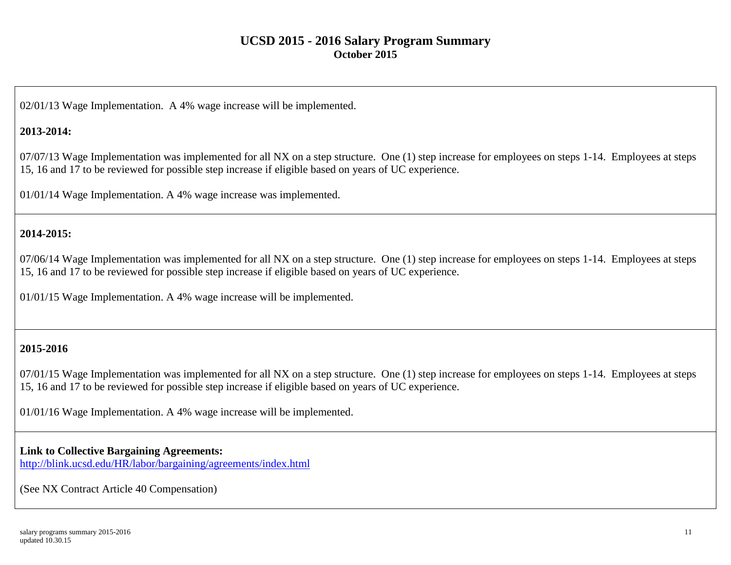02/01/13 Wage Implementation. A 4% wage increase will be implemented.

### **2013-2014:**

07/07/13 Wage Implementation was implemented for all NX on a step structure. One (1) step increase for employees on steps 1-14. Employees at steps 15, 16 and 17 to be reviewed for possible step increase if eligible based on years of UC experience.

01/01/14 Wage Implementation. A 4% wage increase was implemented.

## **2014-2015:**

07/06/14 Wage Implementation was implemented for all NX on a step structure. One (1) step increase for employees on steps 1-14. Employees at steps 15, 16 and 17 to be reviewed for possible step increase if eligible based on years of UC experience.

01/01/15 Wage Implementation. A 4% wage increase will be implemented.

### **2015-2016**

07/01/15 Wage Implementation was implemented for all NX on a step structure. One (1) step increase for employees on steps 1-14. Employees at steps 15, 16 and 17 to be reviewed for possible step increase if eligible based on years of UC experience.

01/01/16 Wage Implementation. A 4% wage increase will be implemented.

#### **Link to Collective Bargaining Agreements:**

<http://blink.ucsd.edu/HR/labor/bargaining/agreements/index.html>

(See NX Contract Article 40 Compensation)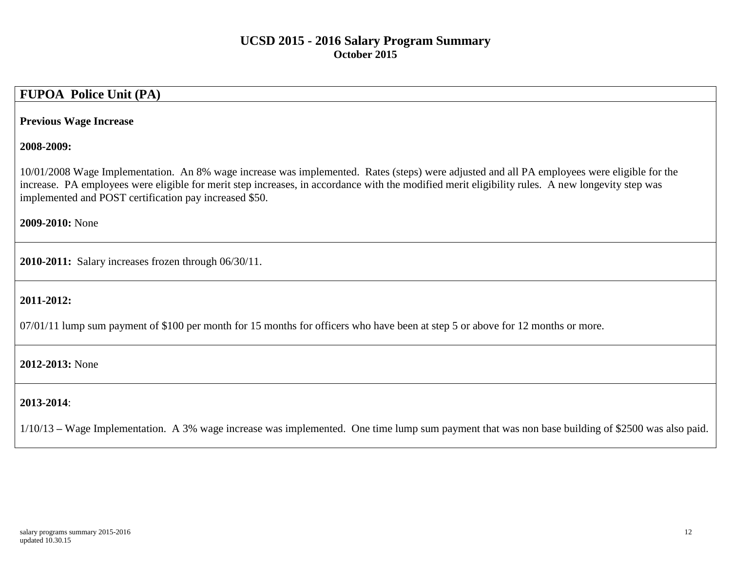# **FUPOA Police Unit (PA)**

#### **Previous Wage Increase**

### **2008-2009:**

10/01/2008 Wage Implementation. An 8% wage increase was implemented. Rates (steps) were adjusted and all PA employees were eligible for the increase. PA employees were eligible for merit step increases, in accordance with the modified merit eligibility rules. A new longevity step was implemented and POST certification pay increased \$50.

**2009-2010:** None

**2010-2011:** Salary increases frozen through 06/30/11.

### **2011-2012:**

07/01/11 lump sum payment of \$100 per month for 15 months for officers who have been at step 5 or above for 12 months or more.

### **2012-2013:** None

### **2013-2014**:

1/10/13 **–** Wage Implementation. A 3% wage increase was implemented. One time lump sum payment that was non base building of \$2500 was also paid.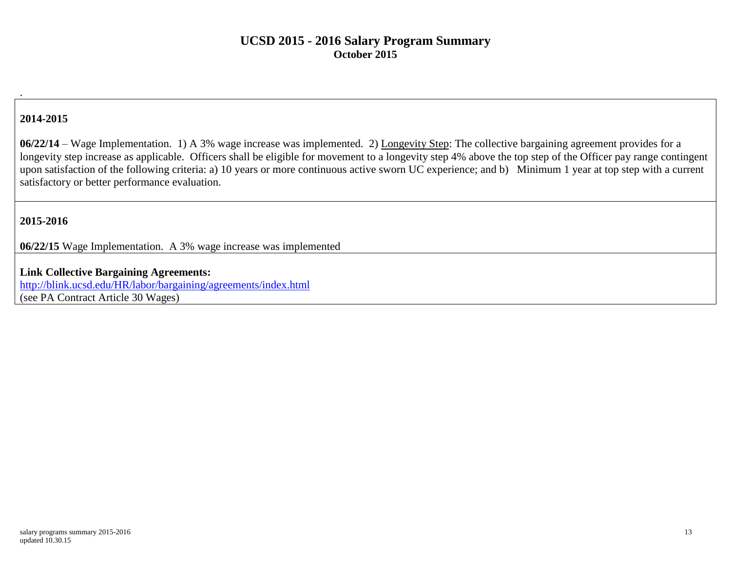### **2014-2015**

.

**06/22/14** – Wage Implementation. 1) A 3% wage increase was implemented. 2) Longevity Step: The collective bargaining agreement provides for a longevity step increase as applicable. Officers shall be eligible for movement to a longevity step 4% above the top step of the Officer pay range contingent upon satisfaction of the following criteria: a) 10 years or more continuous active sworn UC experience; and b) Minimum 1 year at top step with a current satisfactory or better performance evaluation.

#### **2015-2016**

**06/22/15** Wage Implementation. A 3% wage increase was implemented

**Link Collective Bargaining Agreements:** <http://blink.ucsd.edu/HR/labor/bargaining/agreements/index.html>

(see PA Contract Article 30 Wages)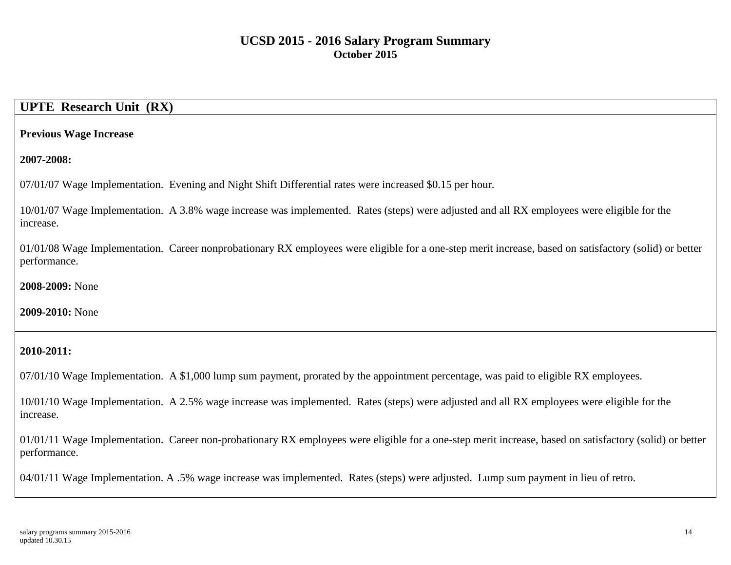## **UPTE Research Unit (RX)**

#### **Previous Wage Increase**

**2007-2008:**

07/01/07 Wage Implementation. Evening and Night Shift Differential rates were increased \$0.15 per hour.

10/01/07 Wage Implementation. A 3.8% wage increase was implemented. Rates (steps) were adjusted and all RX employees were eligible for the increase.

01/01/08 Wage Implementation. Career nonprobationary RX employees were eligible for a one-step merit increase, based on satisfactory (solid) or better performance.

**2008-2009:** None

**2009-2010:** None

### **2010-2011:**

07/01/10 Wage Implementation. A \$1,000 lump sum payment, prorated by the appointment percentage, was paid to eligible RX employees.

10/01/10 Wage Implementation. A 2.5% wage increase was implemented. Rates (steps) were adjusted and all RX employees were eligible for the increase.

01/01/11 Wage Implementation. Career non-probationary RX employees were eligible for a one-step merit increase, based on satisfactory (solid) or better performance.

04/01/11 Wage Implementation. A .5% wage increase was implemented. Rates (steps) were adjusted. Lump sum payment in lieu of retro.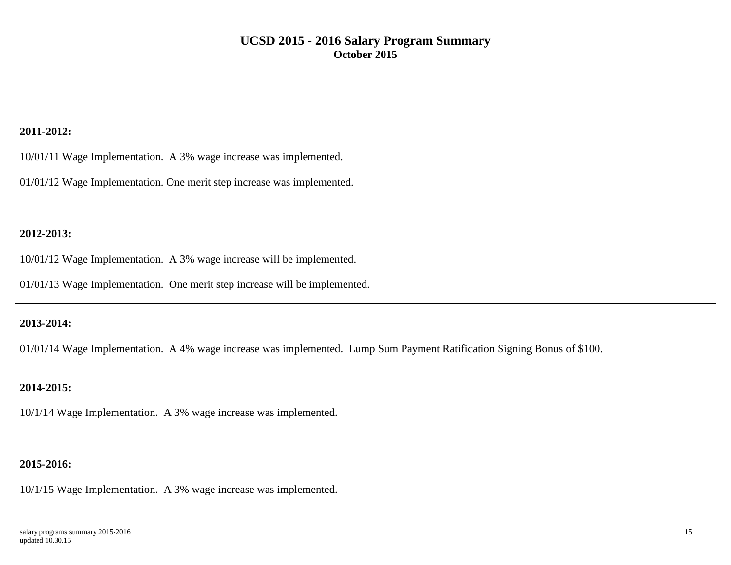### **2011-2012:**

10/01/11 Wage Implementation. A 3% wage increase was implemented.

01/01/12 Wage Implementation. One merit step increase was implemented.

### **2012-2013:**

10/01/12 Wage Implementation. A 3% wage increase will be implemented.

01/01/13 Wage Implementation. One merit step increase will be implemented.

### **2013-2014:**

01/01/14 Wage Implementation. A 4% wage increase was implemented. Lump Sum Payment Ratification Signing Bonus of \$100.

## **2014-2015:**

10/1/14 Wage Implementation. A 3% wage increase was implemented.

## **2015-2016:**

10/1/15 Wage Implementation. A 3% wage increase was implemented.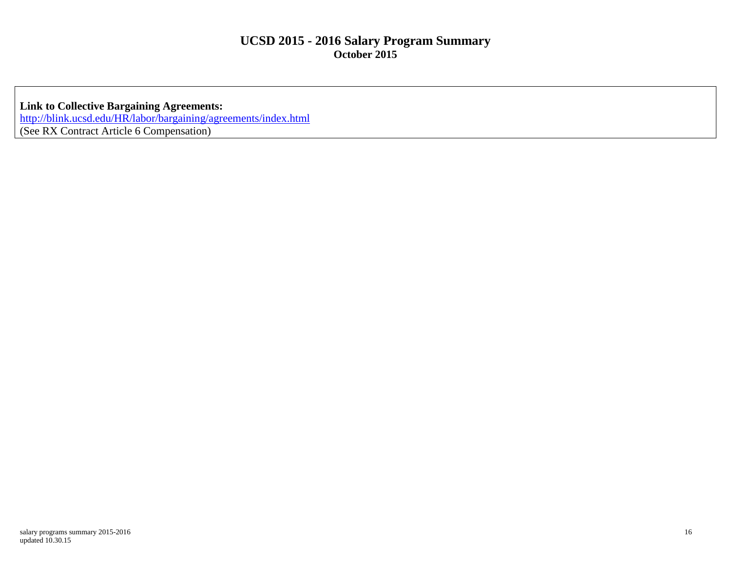**Link to Collective Bargaining Agreements:** <http://blink.ucsd.edu/HR/labor/bargaining/agreements/index.html> (See RX Contract Article 6 Compensation)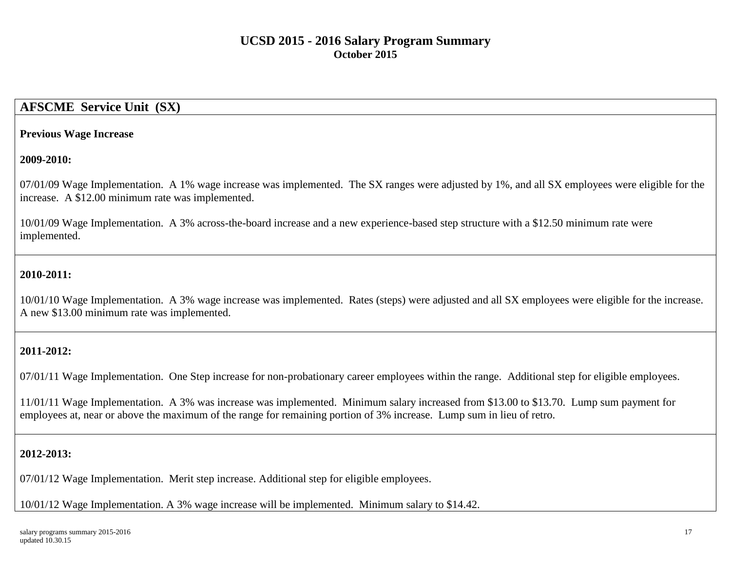## **AFSCME Service Unit (SX)**

#### **Previous Wage Increase**

#### **2009-2010:**

07/01/09 Wage Implementation. A 1% wage increase was implemented. The SX ranges were adjusted by 1%, and all SX employees were eligible for the increase. A \$12.00 minimum rate was implemented.

10/01/09 Wage Implementation. A 3% across-the-board increase and a new experience-based step structure with a \$12.50 minimum rate were implemented.

### **2010-2011:**

10/01/10 Wage Implementation. A 3% wage increase was implemented. Rates (steps) were adjusted and all SX employees were eligible for the increase. A new \$13.00 minimum rate was implemented.

#### **2011-2012:**

07/01/11 Wage Implementation. One Step increase for non-probationary career employees within the range. Additional step for eligible employees.

11/01/11 Wage Implementation. A 3% was increase was implemented. Minimum salary increased from \$13.00 to \$13.70. Lump sum payment for employees at, near or above the maximum of the range for remaining portion of 3% increase. Lump sum in lieu of retro.

#### **2012-2013:**

07/01/12 Wage Implementation. Merit step increase. Additional step for eligible employees.

10/01/12 Wage Implementation. A 3% wage increase will be implemented. Minimum salary to \$14.42.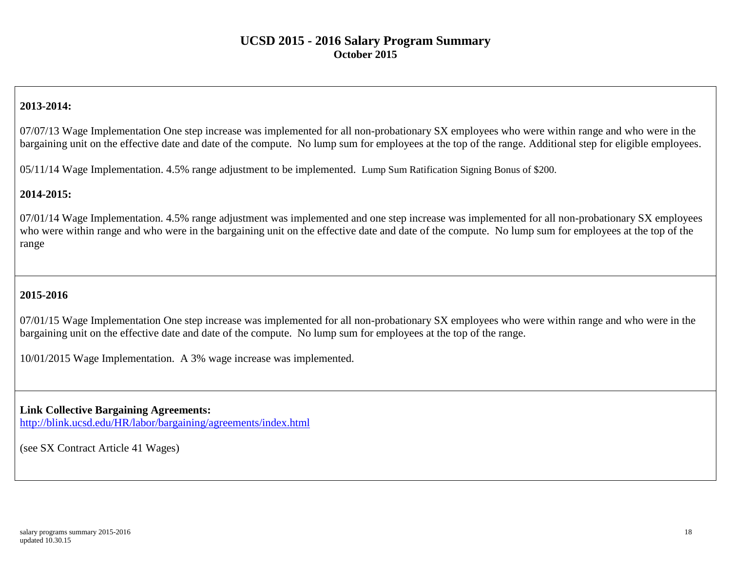## **2013-2014:**

07/07/13 Wage Implementation One step increase was implemented for all non-probationary SX employees who were within range and who were in the bargaining unit on the effective date and date of the compute. No lump sum for employees at the top of the range. Additional step for eligible employees.

05/11/14 Wage Implementation. 4.5% range adjustment to be implemented. Lump Sum Ratification Signing Bonus of \$200.

### **2014-2015:**

07/01/14 Wage Implementation. 4.5% range adjustment was implemented and one step increase was implemented for all non-probationary SX employees who were within range and who were in the bargaining unit on the effective date and date of the compute. No lump sum for employees at the top of the range

## **2015-2016**

07/01/15 Wage Implementation One step increase was implemented for all non-probationary SX employees who were within range and who were in the bargaining unit on the effective date and date of the compute. No lump sum for employees at the top of the range.

10/01/2015 Wage Implementation. A 3% wage increase was implemented.

**Link Collective Bargaining Agreements:** <http://blink.ucsd.edu/HR/labor/bargaining/agreements/index.html>

(see SX Contract Article 41 Wages)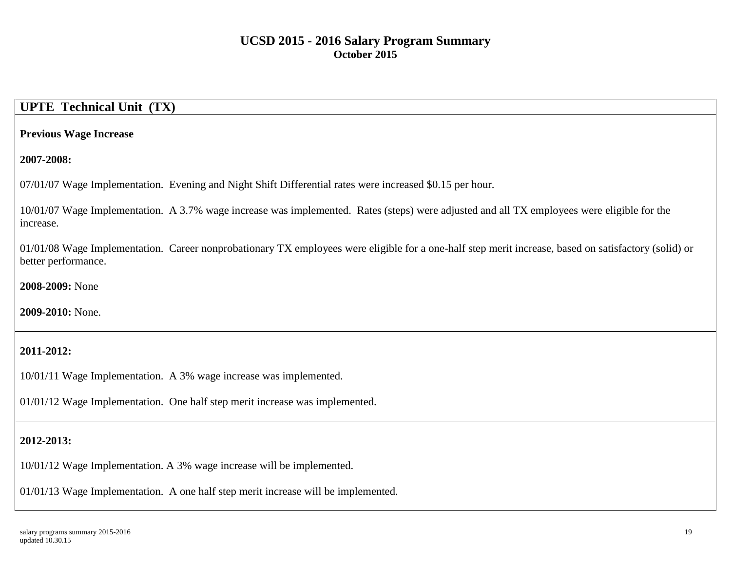# **UPTE Technical Unit (TX)**

#### **Previous Wage Increase**

**2007-2008:**

07/01/07 Wage Implementation. Evening and Night Shift Differential rates were increased \$0.15 per hour.

10/01/07 Wage Implementation. A 3.7% wage increase was implemented. Rates (steps) were adjusted and all TX employees were eligible for the increase.

01/01/08 Wage Implementation. Career nonprobationary TX employees were eligible for a one-half step merit increase, based on satisfactory (solid) or better performance.

**2008-2009:** None

**2009-2010:** None.

## **2011-2012:**

10/01/11 Wage Implementation. A 3% wage increase was implemented.

01/01/12 Wage Implementation. One half step merit increase was implemented.

### **2012-2013:**

10/01/12 Wage Implementation. A 3% wage increase will be implemented.

01/01/13 Wage Implementation. A one half step merit increase will be implemented.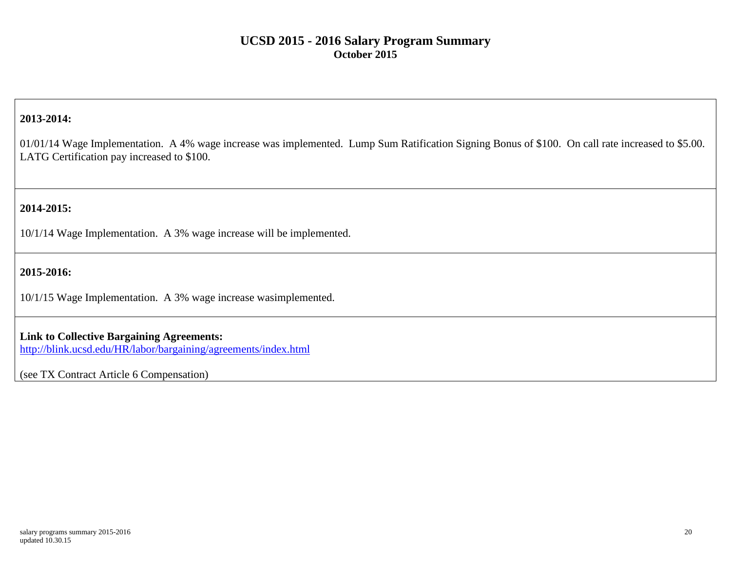### **2013-2014:**

01/01/14 Wage Implementation. A 4% wage increase was implemented. Lump Sum Ratification Signing Bonus of \$100. On call rate increased to \$5.00. LATG Certification pay increased to \$100.

### **2014-2015:**

10/1/14 Wage Implementation. A 3% wage increase will be implemented.

### **2015-2016:**

10/1/15 Wage Implementation. A 3% wage increase wasimplemented.

#### **Link to Collective Bargaining Agreements:**

<http://blink.ucsd.edu/HR/labor/bargaining/agreements/index.html>

(see TX Contract Article 6 Compensation)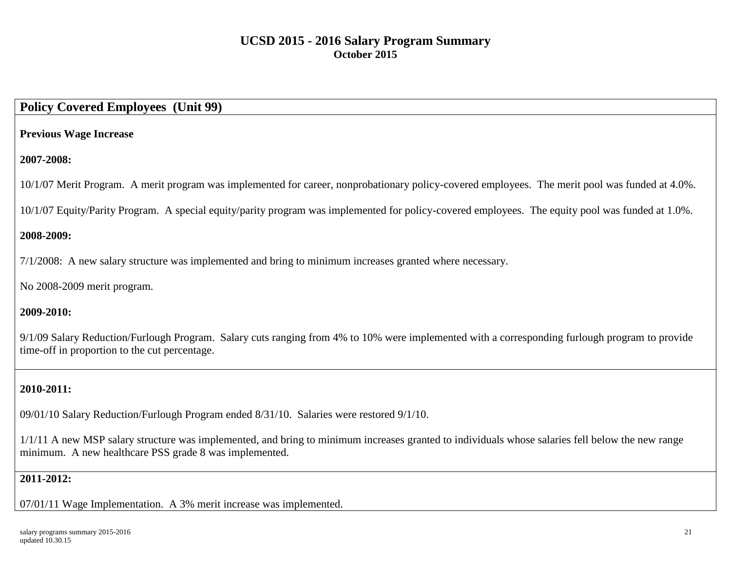# **Policy Covered Employees (Unit 99)**

#### **Previous Wage Increase**

### **2007-2008:**

10/1/07 Merit Program. A merit program was implemented for career, nonprobationary policy-covered employees. The merit pool was funded at 4.0%.

10/1/07 Equity/Parity Program. A special equity/parity program was implemented for policy-covered employees. The equity pool was funded at 1.0%.

### **2008-2009:**

7/1/2008: A new salary structure was implemented and bring to minimum increases granted where necessary.

No 2008-2009 merit program.

### **2009-2010:**

9/1/09 Salary Reduction/Furlough Program. Salary cuts ranging from 4% to 10% were implemented with a corresponding furlough program to provide time-off in proportion to the cut percentage.

# **2010-2011:**

09/01/10 Salary Reduction/Furlough Program ended 8/31/10. Salaries were restored 9/1/10.

1/1/11 A new MSP salary structure was implemented, and bring to minimum increases granted to individuals whose salaries fell below the new range minimum. A new healthcare PSS grade 8 was implemented.

### **2011-2012:**

07/01/11 Wage Implementation. A 3% merit increase was implemented.